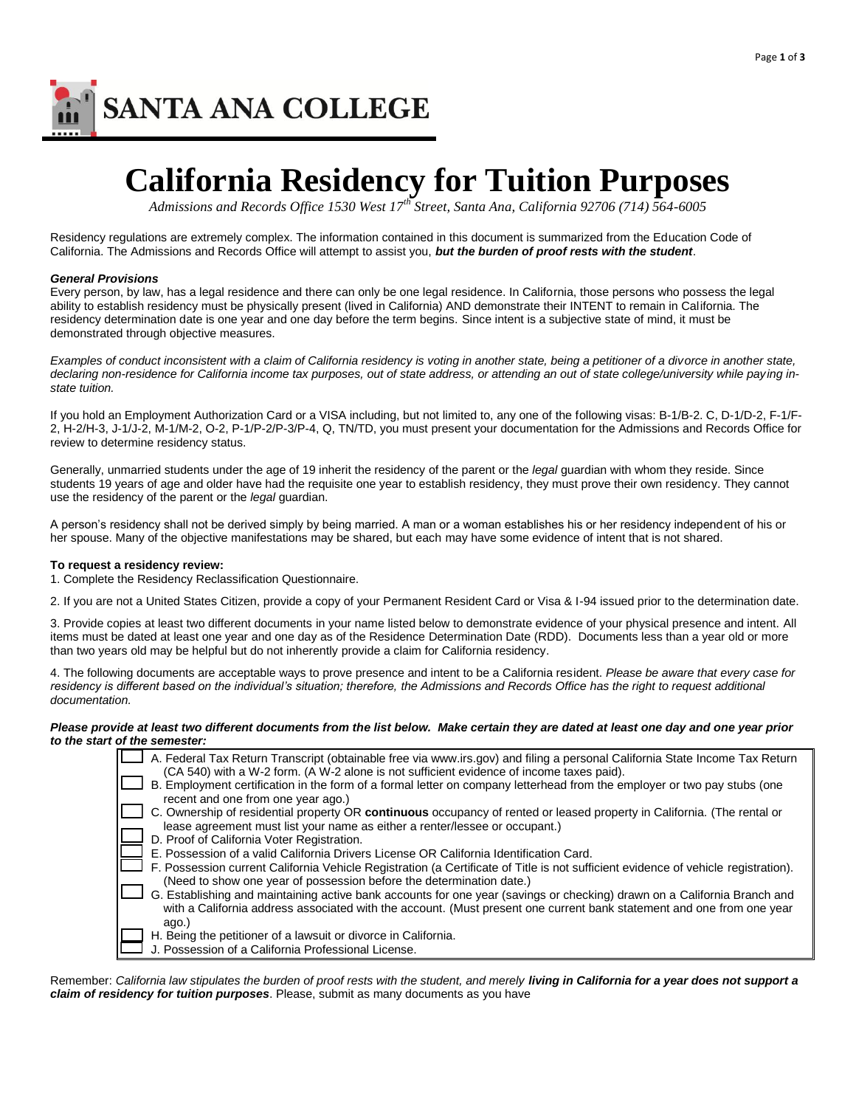

## **California Residency for Tuition Purposes**

*Admissions and Records Office 1530 West 17th Street, Santa Ana, California 92706 (714) 564-6005* 

Residency regulations are extremely complex. The information contained in this document is summarized from the Education Code of California. The Admissions and Records Office will attempt to assist you, *but the burden of proof rests with the student*.

#### *General Provisions*

Every person, by law, has a legal residence and there can only be one legal residence. In California, those persons who possess the legal ability to establish residency must be physically present (lived in California) AND demonstrate their INTENT to remain in California. The residency determination date is one year and one day before the term begins. Since intent is a subjective state of mind, it must be demonstrated through objective measures.

Examples of conduct inconsistent with a claim of California residency is voting in another state, being a petitioner of a divorce in another state, *declaring non-residence for California income tax purposes, out of state address, or attending an out of state college/university while paying instate tuition.* 

If you hold an Employment Authorization Card or a VISA including, but not limited to, any one of the following visas: B-1/B-2. C, D-1/D-2, F-1/F-2, H-2/H-3, J-1/J-2, M-1/M-2, O-2, P-1/P-2/P-3/P-4, Q, TN/TD, you must present your documentation for the Admissions and Records Office for review to determine residency status.

Generally, unmarried students under the age of 19 inherit the residency of the parent or the *legal* guardian with whom they reside. Since students 19 years of age and older have had the requisite one year to establish residency, they must prove their own residency. They cannot use the residency of the parent or the *legal* guardian.

A person's residency shall not be derived simply by being married. A man or a woman establishes his or her residency independent of his or her spouse. Many of the objective manifestations may be shared, but each may have some evidence of intent that is not shared.

#### **To request a residency review:**

1. Complete the Residency Reclassification Questionnaire.

2. If you are not a United States Citizen, provide a copy of your Permanent Resident Card or Visa & I-94 issued prior to the determination date.

3. Provide copies at least two different documents in your name listed below to demonstrate evidence of your physical presence and intent. All items must be dated at least one year and one day as of the Residence Determination Date (RDD). Documents less than a year old or more than two years old may be helpful but do not inherently provide a claim for California residency.

4. The following documents are acceptable ways to prove presence and intent to be a California resident. *Please be aware that every case for residency is different based on the individual's situation; therefore, the Admissions and Records Office has the right to request additional documentation.*

#### *Please provide at least two different documents from the list below. Make certain they are dated at least one day and one year prior to the start of the semester:*

| A. Federal Tax Return Transcript (obtainable free via www.irs.gov) and filing a personal California State Income Tax Return<br>(CA 540) with a W-2 form. (A W-2 alone is not sufficient evidence of income taxes paid). |  |
|-------------------------------------------------------------------------------------------------------------------------------------------------------------------------------------------------------------------------|--|
| B. Employment certification in the form of a formal letter on company letterhead from the employer or two pay stubs (one                                                                                                |  |
| recent and one from one year ago.)                                                                                                                                                                                      |  |
| C. Ownership of residential property OR continuous occupancy of rented or leased property in California. (The rental or                                                                                                 |  |
| lease agreement must list your name as either a renter/lessee or occupant.)                                                                                                                                             |  |
| D. Proof of California Voter Registration.                                                                                                                                                                              |  |
| E. Possession of a valid California Drivers License OR California Identification Card.                                                                                                                                  |  |
| F. Possession current California Vehicle Registration (a Certificate of Title is not sufficient evidence of vehicle registration).                                                                                      |  |
| (Need to show one year of possession before the determination date.)                                                                                                                                                    |  |
| G. Establishing and maintaining active bank accounts for one year (savings or checking) drawn on a California Branch and                                                                                                |  |
| with a California address associated with the account. (Must present one current bank statement and one from one year                                                                                                   |  |
| ago.)                                                                                                                                                                                                                   |  |
| H. Being the petitioner of a lawsuit or divorce in California.                                                                                                                                                          |  |
| J. Possession of a California Professional License.                                                                                                                                                                     |  |

Remember: California law stipulates the burden of proof rests with the student, and merely *living in California for a year does not support a claim of residency for tuition purposes*. Please, submit as many documents as you have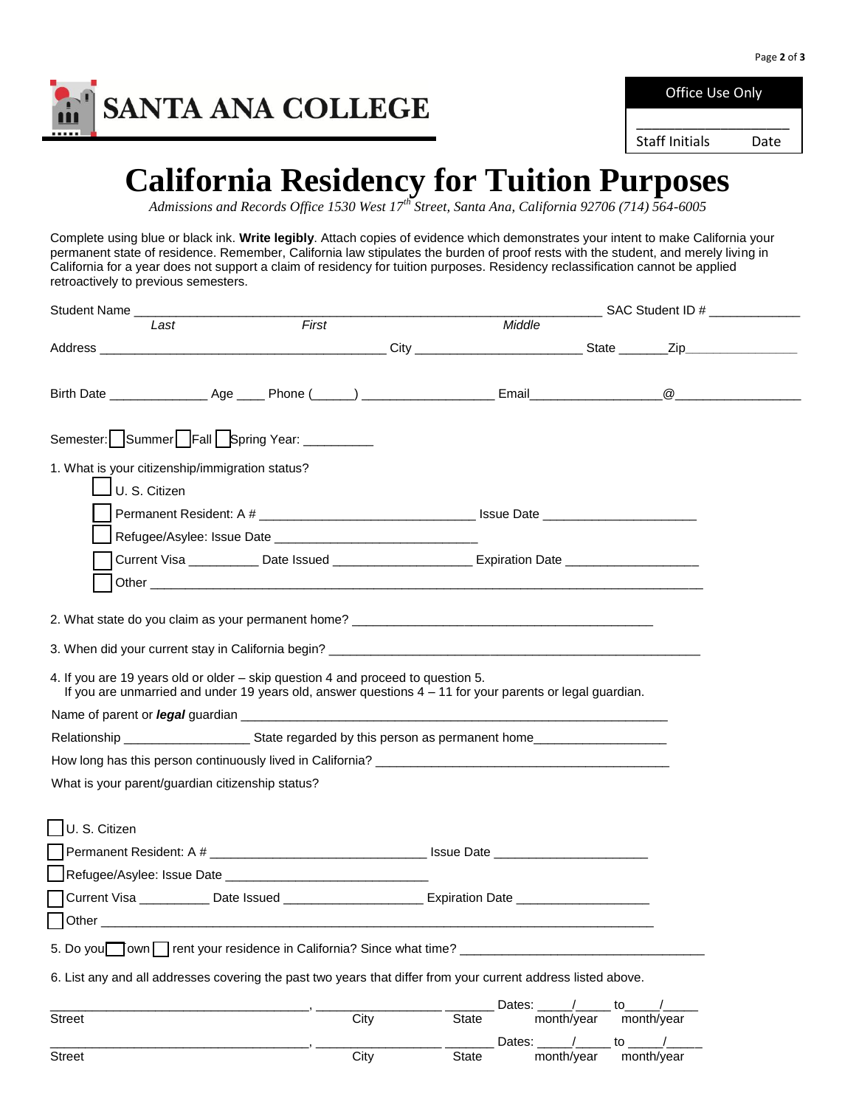

Office Use Only \_\_\_\_\_\_\_\_\_\_\_\_\_\_\_\_\_\_\_\_

Staff Initials Date

### **California Residency for Tuition Purposes**

*Admissions and Records Office 1530 West 17th Street, Santa Ana, California 92706 (714) 564-6005* 

Complete using blue or black ink. **Write legibly**. Attach copies of evidence which demonstrates your intent to make California your permanent state of residence. Remember, California law stipulates the burden of proof rests with the student, and merely living in California for a year does not support a claim of residency for tuition purposes. Residency reclassification cannot be applied retroactively to previous semesters.

|                                                  |                                                                                                                                                                                                                                |                                                                                                      |                        |                                                     | _______________ SAC Student ID # ________________ |
|--------------------------------------------------|--------------------------------------------------------------------------------------------------------------------------------------------------------------------------------------------------------------------------------|------------------------------------------------------------------------------------------------------|------------------------|-----------------------------------------------------|---------------------------------------------------|
| Last                                             | First                                                                                                                                                                                                                          |                                                                                                      | Middle                 |                                                     |                                                   |
|                                                  |                                                                                                                                                                                                                                |                                                                                                      |                        |                                                     |                                                   |
|                                                  |                                                                                                                                                                                                                                |                                                                                                      |                        |                                                     |                                                   |
|                                                  | Semester: Summer Fall Spring Year: _________                                                                                                                                                                                   |                                                                                                      |                        |                                                     |                                                   |
| 1. What is your citizenship/immigration status?  |                                                                                                                                                                                                                                |                                                                                                      |                        |                                                     |                                                   |
| U. S. Citizen                                    |                                                                                                                                                                                                                                |                                                                                                      |                        |                                                     |                                                   |
|                                                  |                                                                                                                                                                                                                                |                                                                                                      |                        |                                                     |                                                   |
|                                                  |                                                                                                                                                                                                                                |                                                                                                      |                        |                                                     |                                                   |
|                                                  | Current Visa ____________ Date Issued _________________________ Expiration Date ____________________                                                                                                                           |                                                                                                      |                        |                                                     |                                                   |
|                                                  | Other experiences and the contract of the contract of the contract of the contract of the contract of the contract of the contract of the contract of the contract of the contract of the contract of the contract of the cont |                                                                                                      |                        |                                                     |                                                   |
|                                                  |                                                                                                                                                                                                                                |                                                                                                      |                        |                                                     |                                                   |
|                                                  |                                                                                                                                                                                                                                |                                                                                                      |                        |                                                     |                                                   |
|                                                  |                                                                                                                                                                                                                                |                                                                                                      |                        |                                                     |                                                   |
|                                                  | 4. If you are 19 years old or older – skip question 4 and proceed to question 5.<br>If you are unmarried and under 19 years old, answer questions $4 - 11$ for your parents or legal guardian.                                 |                                                                                                      |                        |                                                     |                                                   |
|                                                  |                                                                                                                                                                                                                                |                                                                                                      |                        |                                                     |                                                   |
|                                                  |                                                                                                                                                                                                                                |                                                                                                      |                        |                                                     |                                                   |
|                                                  |                                                                                                                                                                                                                                |                                                                                                      |                        |                                                     |                                                   |
| What is your parent/guardian citizenship status? |                                                                                                                                                                                                                                |                                                                                                      |                        |                                                     |                                                   |
|                                                  |                                                                                                                                                                                                                                |                                                                                                      |                        |                                                     |                                                   |
| U. S. Citizen                                    |                                                                                                                                                                                                                                |                                                                                                      |                        |                                                     |                                                   |
|                                                  |                                                                                                                                                                                                                                |                                                                                                      |                        |                                                     |                                                   |
|                                                  |                                                                                                                                                                                                                                |                                                                                                      |                        |                                                     |                                                   |
|                                                  |                                                                                                                                                                                                                                | Current Visa _____________Date Issued _________________________Expiration Date _____________________ |                        |                                                     |                                                   |
|                                                  |                                                                                                                                                                                                                                |                                                                                                      |                        |                                                     |                                                   |
|                                                  | 5. Do you own rent your residence in California? Since what time?                                                                                                                                                              |                                                                                                      |                        |                                                     |                                                   |
|                                                  |                                                                                                                                                                                                                                |                                                                                                      |                        |                                                     |                                                   |
|                                                  | 6. List any and all addresses covering the past two years that differ from your current address listed above.                                                                                                                  |                                                                                                      |                        |                                                     |                                                   |
| <b>Street</b>                                    | City                                                                                                                                                                                                                           |                                                                                                      | Dates:<br><b>State</b> | month/year                                          | to<br>month/year                                  |
|                                                  |                                                                                                                                                                                                                                |                                                                                                      |                        | Dates: $\frac{1}{\sqrt{2}}$ to $\frac{1}{\sqrt{2}}$ |                                                   |
| <b>Street</b>                                    | City                                                                                                                                                                                                                           |                                                                                                      | <b>State</b>           | month/year                                          | month/year                                        |